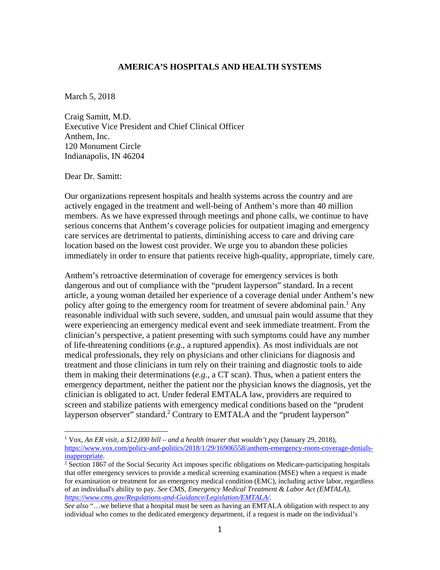## **AMERICA'S HOSPITALS AND HEALTH SYSTEMS**

March 5, 2018

Craig Samitt, M.D. Executive Vice President and Chief Clinical Officer Anthem, Inc. 120 Monument Circle Indianapolis, IN 46204

Dear Dr. Samitt:

 

Our organizations represent hospitals and health systems across the country and are actively engaged in the treatment and well-being of Anthem's more than 40 million members. As we have expressed through meetings and phone calls, we continue to have serious concerns that Anthem's coverage policies for outpatient imaging and emergency care services are detrimental to patients, diminishing access to care and driving care location based on the lowest cost provider. We urge you to abandon these policies immediately in order to ensure that patients receive high-quality, appropriate, timely care.

Anthem's retroactive determination of coverage for emergency services is both dangerous and out of compliance with the "prudent layperson" standard. In a recent article, a young woman detailed her experience of a coverage denial under Anthem's new policy after going to the emergency room for treatment of severe abdominal pain.<sup>1</sup> Any reasonable individual with such severe, sudden, and unusual pain would assume that they were experiencing an emergency medical event and seek immediate treatment. From the clinician's perspective, a patient presenting with such symptoms could have any number of life-threatening conditions (*e.g.*, a ruptured appendix). As most individuals are not medical professionals, they rely on physicians and other clinicians for diagnosis and treatment and those clinicians in turn rely on their training and diagnostic tools to aide them in making their determinations (*e.g.*, a CT scan). Thus, when a patient enters the emergency department, neither the patient nor the physician knows the diagnosis, yet the clinician is obligated to act. Under federal EMTALA law, providers are required to screen and stabilize patients with emergency medical conditions based on the "prudent layperson observer" standard.<sup>2</sup> Contrary to EMTALA and the "prudent layperson"

<sup>&</sup>lt;sup>1</sup> Vox, An ER visit, a \$12,000 bill – and a health insurer that wouldn't pay (January 29, 2018), https://www.vox.com/policy-and-politics/2018/1/29/16906558/anthem-emergency-room-coverage-denialsinappropriate.

<sup>&</sup>lt;sup>2</sup> Section 1867 of the Social Security Act imposes specific obligations on Medicare-participating hospitals that offer emergency services to provide a medical screening examination (MSE) when a request is made for examination or treatment for an emergency medical condition (EMC), including active labor, regardless of an individual's ability to pay. *See* CMS, *Emergency Medical Treatment & Labor Act (EMTALA), https://www.cms.gov/Regulations-and-Guidance/Legislation/EMTALA/.* 

*See also* "…we believe that a hospital must be seen as having an EMTALA obligation with respect to any individual who comes to the dedicated emergency department, if a request is made on the individual's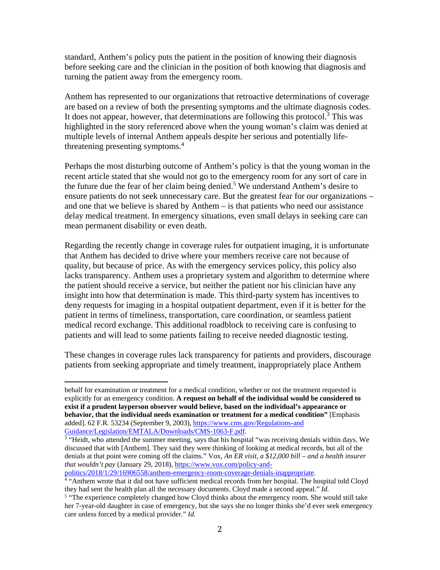standard, Anthem's policy puts the patient in the position of knowing their diagnosis before seeking care and the clinician in the position of both knowing that diagnosis and turning the patient away from the emergency room.

Anthem has represented to our organizations that retroactive determinations of coverage are based on a review of both the presenting symptoms and the ultimate diagnosis codes. It does not appear, however, that determinations are following this protocol.<sup>3</sup> This was highlighted in the story referenced above when the young woman's claim was denied at multiple levels of internal Anthem appeals despite her serious and potentially lifethreatening presenting symptoms.<sup>4</sup>

Perhaps the most disturbing outcome of Anthem's policy is that the young woman in the recent article stated that she would not go to the emergency room for any sort of care in the future due the fear of her claim being denied.<sup>5</sup> We understand Anthem's desire to ensure patients do not seek unnecessary care. But the greatest fear for our organizations – and one that we believe is shared by Anthem – is that patients who need our assistance delay medical treatment. In emergency situations, even small delays in seeking care can mean permanent disability or even death.

Regarding the recently change in coverage rules for outpatient imaging, it is unfortunate that Anthem has decided to drive where your members receive care not because of quality, but because of price. As with the emergency services policy, this policy also lacks transparency. Anthem uses a proprietary system and algorithm to determine where the patient should receive a service, but neither the patient nor his clinician have any insight into how that determination is made. This third-party system has incentives to deny requests for imaging in a hospital outpatient department, even if it is better for the patient in terms of timeliness, transportation, care coordination, or seamless patient medical record exchange. This additional roadblock to receiving care is confusing to patients and will lead to some patients failing to receive needed diagnostic testing.

These changes in coverage rules lack transparency for patients and providers, discourage patients from seeking appropriate and timely treatment, inappropriately place Anthem

politics/2018/1/29/16906558/anthem-emergency-room-coverage-denials-inappropriate. 4

 

behalf for examination or treatment for a medical condition, whether or not the treatment requested is explicitly for an emergency condition. **A request on behalf of the individual would be considered to exist if a prudent layperson observer would believe, based on the individual's appearance or behavior, that the individual needs examination or treatment for a medical condition"** [Emphasis added]. 62 F.R. 53234 (September 9, 2003), https://www.cms.gov/Regulations-and Guidance/Legislation/EMTALA/Downloads/CMS-1063-F.pdf. 3

<sup>&</sup>lt;sup>3</sup> "Heidt, who attended the summer meeting, says that his hospital "was receiving denials within days. We discussed that with [Anthem]. They said they were thinking of looking at medical records, but all of the denials at that point were coming off the claims." Vox, *An ER visit, a \$12,000 bill – and a health insurer that wouldn't pay* (January 29, 2018), https://www.vox.com/policy-and-

<sup>&</sup>lt;sup>4</sup> "Anthem wrote that it did not have sufficient medical records from her hospital. The hospital told Cloyd they had sent the health plan all the necessary documents. Cloyd made a second appeal." *Id.* 

<sup>&</sup>lt;sup>5</sup> "The experience completely changed how Cloyd thinks about the emergency room. She would still take her 7-year-old daughter in case of emergency, but she says she no longer thinks she'd ever seek emergency care unless forced by a medical provider." *Id.*